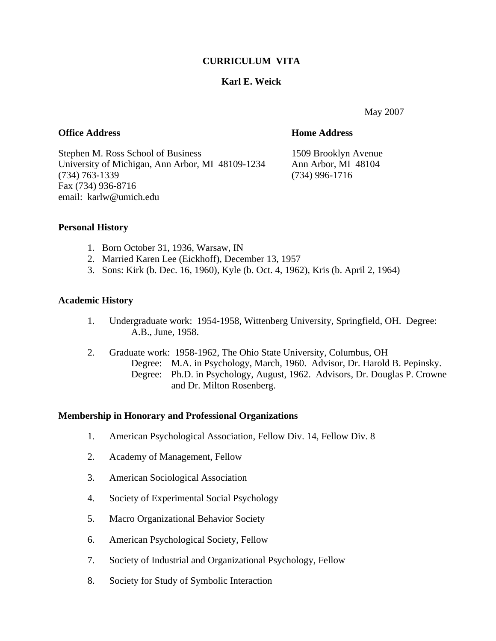# **CURRICULUM VITA**

# **Karl E. Weick**

May 2007

# **Office Address Home Address**

Stephen M. Ross School of Business 1509 Brooklyn Avenue University of Michigan, Ann Arbor, MI 48109-1234 Ann Arbor, MI 48104 (734) 763-1339 (734) 996-1716 Fax (734) 936-8716 email: karlw@umich.edu

# **Personal History**

- 1. Born October 31, 1936, Warsaw, IN
- 2. Married Karen Lee (Eickhoff), December 13, 1957
- 3. Sons: Kirk (b. Dec. 16, 1960), Kyle (b. Oct. 4, 1962), Kris (b. April 2, 1964)

# **Academic History**

- 1. Undergraduate work: 1954-1958, Wittenberg University, Springfield, OH. Degree: A.B., June, 1958.
- 2. Graduate work: 1958-1962, The Ohio State University, Columbus, OH Degree: M.A. in Psychology, March, 1960. Advisor, Dr. Harold B. Pepinsky. Degree: Ph.D. in Psychology, August, 1962. Advisors, Dr. Douglas P. Crowne and Dr. Milton Rosenberg.

# **Membership in Honorary and Professional Organizations**

- 1. American Psychological Association, Fellow Div. 14, Fellow Div. 8
- 2. Academy of Management, Fellow
- 3. American Sociological Association
- 4. Society of Experimental Social Psychology
- 5. Macro Organizational Behavior Society
- 6. American Psychological Society, Fellow
- 7. Society of Industrial and Organizational Psychology, Fellow
- 8. Society for Study of Symbolic Interaction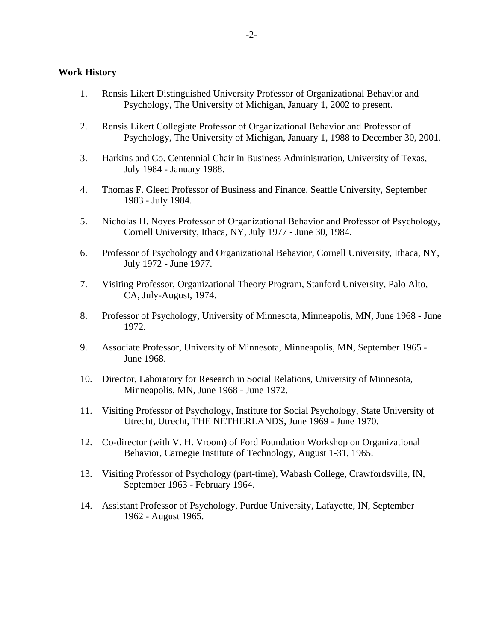### **Work History**

- 1. Rensis Likert Distinguished University Professor of Organizational Behavior and Psychology, The University of Michigan, January 1, 2002 to present.
- 2. Rensis Likert Collegiate Professor of Organizational Behavior and Professor of Psychology, The University of Michigan, January 1, 1988 to December 30, 2001.
- 3. Harkins and Co. Centennial Chair in Business Administration, University of Texas, July 1984 - January 1988.
- 4. Thomas F. Gleed Professor of Business and Finance, Seattle University, September 1983 - July 1984.
- 5. Nicholas H. Noyes Professor of Organizational Behavior and Professor of Psychology, Cornell University, Ithaca, NY, July 1977 - June 30, 1984.
- 6. Professor of Psychology and Organizational Behavior, Cornell University, Ithaca, NY, July 1972 - June 1977.
- 7. Visiting Professor, Organizational Theory Program, Stanford University, Palo Alto, CA, July-August, 1974.
- 8. Professor of Psychology, University of Minnesota, Minneapolis, MN, June 1968 June 1972.
- 9. Associate Professor, University of Minnesota, Minneapolis, MN, September 1965 June 1968.
- 10. Director, Laboratory for Research in Social Relations, University of Minnesota, Minneapolis, MN, June 1968 - June 1972.
- 11. Visiting Professor of Psychology, Institute for Social Psychology, State University of Utrecht, Utrecht, THE NETHERLANDS, June 1969 - June 1970.
- 12. Co-director (with V. H. Vroom) of Ford Foundation Workshop on Organizational Behavior, Carnegie Institute of Technology, August 1-31, 1965.
- 13. Visiting Professor of Psychology (part-time), Wabash College, Crawfordsville, IN, September 1963 - February 1964.
- 14. Assistant Professor of Psychology, Purdue University, Lafayette, IN, September 1962 - August 1965.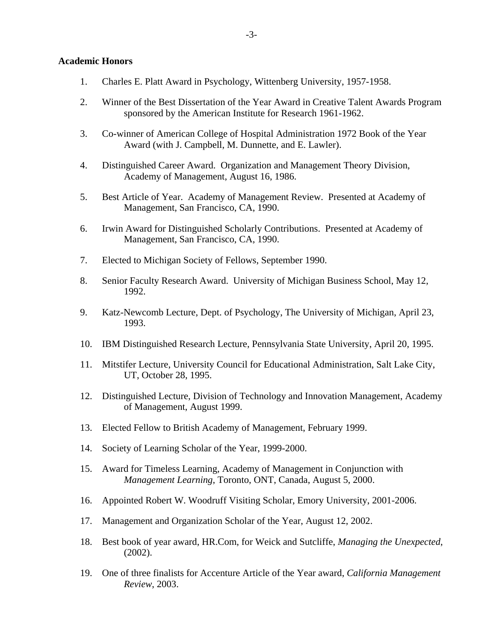### **Academic Honors**

- 1. Charles E. Platt Award in Psychology, Wittenberg University, 1957-1958.
- 2. Winner of the Best Dissertation of the Year Award in Creative Talent Awards Program sponsored by the American Institute for Research 1961-1962.
- 3. Co-winner of American College of Hospital Administration 1972 Book of the Year Award (with J. Campbell, M. Dunnette, and E. Lawler).
- 4. Distinguished Career Award. Organization and Management Theory Division, Academy of Management, August 16, 1986.
- 5. Best Article of Year. Academy of Management Review. Presented at Academy of Management, San Francisco, CA, 1990.
- 6. Irwin Award for Distinguished Scholarly Contributions. Presented at Academy of Management, San Francisco, CA, 1990.
- 7. Elected to Michigan Society of Fellows, September 1990.
- 8. Senior Faculty Research Award. University of Michigan Business School, May 12, 1992.
- 9. Katz-Newcomb Lecture, Dept. of Psychology, The University of Michigan, April 23, 1993.
- 10. IBM Distinguished Research Lecture, Pennsylvania State University, April 20, 1995.
- 11. Mitstifer Lecture, University Council for Educational Administration, Salt Lake City, UT, October 28, 1995.
- 12. Distinguished Lecture, Division of Technology and Innovation Management, Academy of Management, August 1999.
- 13. Elected Fellow to British Academy of Management, February 1999.
- 14. Society of Learning Scholar of the Year, 1999-2000.
- 15. Award for Timeless Learning, Academy of Management in Conjunction with *Management Learning*, Toronto, ONT, Canada, August 5, 2000.
- 16. Appointed Robert W. Woodruff Visiting Scholar, Emory University, 2001-2006.
- 17. Management and Organization Scholar of the Year, August 12, 2002.
- 18. Best book of year award, HR.Com, for Weick and Sutcliffe, *Managing the Unexpected*, (2002).
- 19. One of three finalists for Accenture Article of the Year award, *California Management Review*, 2003.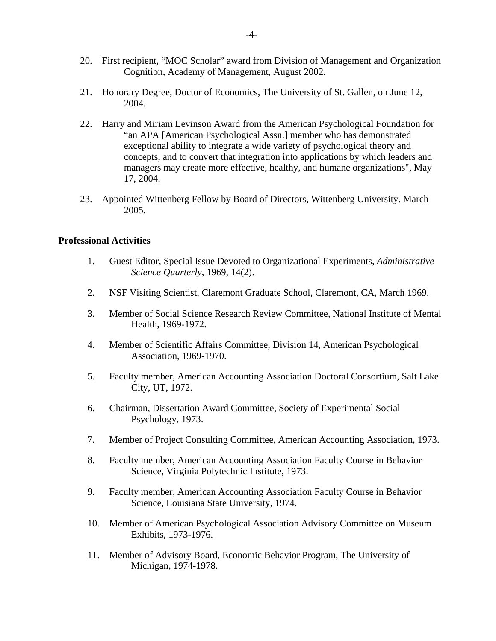- 20. First recipient, "MOC Scholar" award from Division of Management and Organization Cognition, Academy of Management, August 2002.
- 21. Honorary Degree, Doctor of Economics, The University of St. Gallen, on June 12, 2004.
- 22. Harry and Miriam Levinson Award from the American Psychological Foundation for "an APA [American Psychological Assn.] member who has demonstrated exceptional ability to integrate a wide variety of psychological theory and concepts, and to convert that integration into applications by which leaders and managers may create more effective, healthy, and humane organizations", May 17, 2004.
- 23. Appointed Wittenberg Fellow by Board of Directors, Wittenberg University. March 2005.

## **Professional Activities**

- 1. Guest Editor, Special Issue Devoted to Organizational Experiments, *Administrative Science Quarterly*, 1969, 14(2).
- 2. NSF Visiting Scientist, Claremont Graduate School, Claremont, CA, March 1969.
- 3. Member of Social Science Research Review Committee, National Institute of Mental Health, 1969-1972.
- 4. Member of Scientific Affairs Committee, Division 14, American Psychological Association, 1969-1970.
- 5. Faculty member, American Accounting Association Doctoral Consortium, Salt Lake City, UT, 1972.
- 6. Chairman, Dissertation Award Committee, Society of Experimental Social Psychology, 1973.
- 7. Member of Project Consulting Committee, American Accounting Association, 1973.
- 8. Faculty member, American Accounting Association Faculty Course in Behavior Science, Virginia Polytechnic Institute, 1973.
- 9. Faculty member, American Accounting Association Faculty Course in Behavior Science, Louisiana State University, 1974.
- 10. Member of American Psychological Association Advisory Committee on Museum Exhibits, 1973-1976.
- 11. Member of Advisory Board, Economic Behavior Program, The University of Michigan, 1974-1978.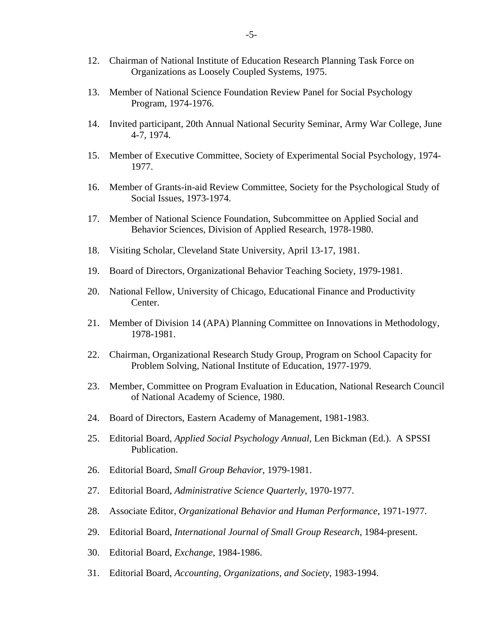- 12. Chairman of National Institute of Education Research Planning Task Force on Organizations as Loosely Coupled Systems, 1975.
- 13. Member of National Science Foundation Review Panel for Social Psychology Program, 1974-1976.
- 14. Invited participant, 20th Annual National Security Seminar, Army War College, June 4-7, 1974.
- 15. Member of Executive Committee, Society of Experimental Social Psychology, 1974- 1977.
- 16. Member of Grants-in-aid Review Committee, Society for the Psychological Study of Social Issues, 1973-1974.
- 17. Member of National Science Foundation, Subcommittee on Applied Social and Behavior Sciences, Division of Applied Research, 1978-1980.
- 18. Visiting Scholar, Cleveland State University, April 13-17, 1981.
- 19. Board of Directors, Organizational Behavior Teaching Society, 1979-1981.
- 20. National Fellow, University of Chicago, Educational Finance and Productivity Center.
- 21. Member of Division 14 (APA) Planning Committee on Innovations in Methodology, 1978-1981.
- 22. Chairman, Organizational Research Study Group, Program on School Capacity for Problem Solving, National Institute of Education, 1977-1979.
- 23. Member, Committee on Program Evaluation in Education, National Research Council of National Academy of Science, 1980.
- 24. Board of Directors, Eastern Academy of Management, 1981-1983.
- 25. Editorial Board, *Applied Social Psychology Annual*, Len Bickman (Ed.). A SPSSI Publication.
- 26. Editorial Board, *Small Group Behavior*, 1979-1981.
- 27. Editorial Board, *Administrative Science Quarterly*, 1970-1977.
- 28. Associate Editor, *Organizational Behavior and Human Performance*, 1971-1977.
- 29. Editorial Board, *International Journal of Small Group Research*, 1984-present.
- 30. Editorial Board, *Exchange*, 1984-1986.
- 31. Editorial Board, *Accounting, Organizations, and Society*, 1983-1994.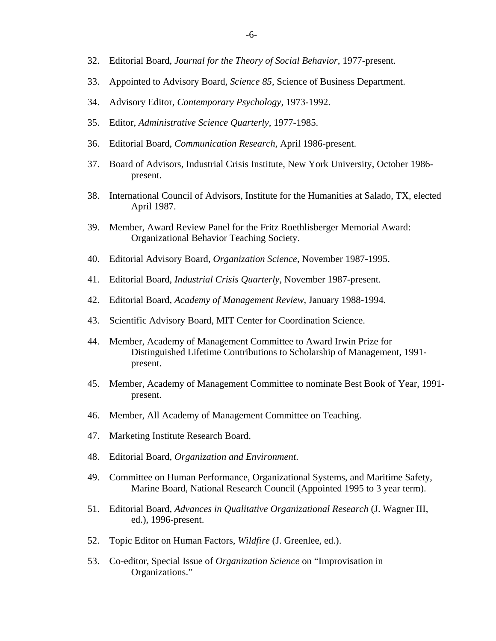- 32. Editorial Board, *Journal for the Theory of Social Behavior*, 1977-present.
- 33. Appointed to Advisory Board, *Science 85*, Science of Business Department.
- 34. Advisory Editor, *Contemporary Psychology*, 1973-1992.
- 35. Editor, *Administrative Science Quarterly*, 1977-1985.
- 36. Editorial Board, *Communication Research*, April 1986-present.
- 37. Board of Advisors, Industrial Crisis Institute, New York University, October 1986 present.
- 38. International Council of Advisors, Institute for the Humanities at Salado, TX, elected April 1987.
- 39. Member, Award Review Panel for the Fritz Roethlisberger Memorial Award: Organizational Behavior Teaching Society.
- 40. Editorial Advisory Board, *Organization Science*, November 1987-1995.
- 41. Editorial Board, *Industrial Crisis Quarterly*, November 1987-present.
- 42. Editorial Board, *Academy of Management Review*, January 1988-1994.
- 43. Scientific Advisory Board, MIT Center for Coordination Science.
- 44. Member, Academy of Management Committee to Award Irwin Prize for Distinguished Lifetime Contributions to Scholarship of Management, 1991 present.
- 45. Member, Academy of Management Committee to nominate Best Book of Year, 1991 present.
- 46. Member, All Academy of Management Committee on Teaching.
- 47. Marketing Institute Research Board.
- 48. Editorial Board, *Organization and Environment*.
- 49. Committee on Human Performance, Organizational Systems, and Maritime Safety, Marine Board, National Research Council (Appointed 1995 to 3 year term).
- 51. Editorial Board, *Advances in Qualitative Organizational Research* (J. Wagner III, ed.), 1996-present.
- 52. Topic Editor on Human Factors, *Wildfire* (J. Greenlee, ed.).
- 53. Co-editor, Special Issue of *Organization Science* on "Improvisation in Organizations."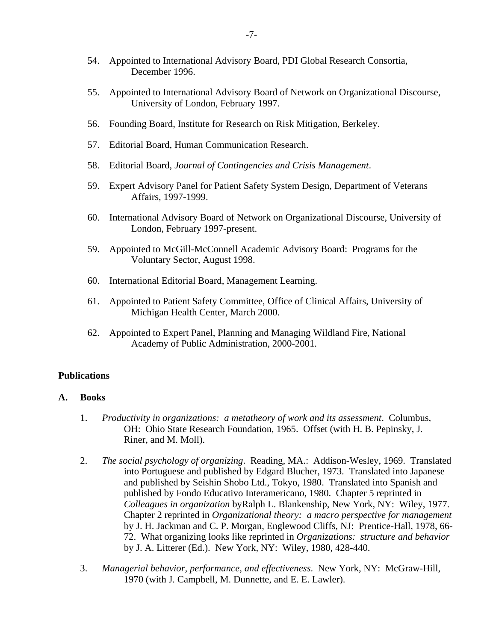- 54. Appointed to International Advisory Board, PDI Global Research Consortia, December 1996.
- 55. Appointed to International Advisory Board of Network on Organizational Discourse, University of London, February 1997.
- 56. Founding Board, Institute for Research on Risk Mitigation, Berkeley.
- 57. Editorial Board, Human Communication Research.
- 58. Editorial Board, *Journal of Contingencies and Crisis Management*.
- 59. Expert Advisory Panel for Patient Safety System Design, Department of Veterans Affairs, 1997-1999.
- 60. International Advisory Board of Network on Organizational Discourse, University of London, February 1997-present.
- 59. Appointed to McGill-McConnell Academic Advisory Board: Programs for the Voluntary Sector, August 1998.
- 60. International Editorial Board, Management Learning.
- 61. Appointed to Patient Safety Committee, Office of Clinical Affairs, University of Michigan Health Center, March 2000.
- 62. Appointed to Expert Panel, Planning and Managing Wildland Fire, National Academy of Public Administration, 2000-2001.

# **Publications**

### **A. Books**

- 1. *Productivity in organizations: a metatheory of work and its assessment*. Columbus, OH: Ohio State Research Foundation, 1965. Offset (with H. B. Pepinsky, J. Riner, and M. Moll).
- 2. *The social psychology of organizing*. Reading, MA.: Addison-Wesley, 1969. Translated into Portuguese and published by Edgard Blucher, 1973. Translated into Japanese and published by Seishin Shobo Ltd., Tokyo, 1980. Translated into Spanish and published by Fondo Educativo Interamericano, 1980. Chapter 5 reprinted in *Colleagues in organization* byRalph L. Blankenship, New York, NY: Wiley, 1977. Chapter 2 reprinted in *Organizational theory: a macro perspective for management* by J. H. Jackman and C. P. Morgan, Englewood Cliffs, NJ: Prentice-Hall, 1978, 66- 72. What organizing looks like reprinted in *Organizations: structure and behavior* by J. A. Litterer (Ed.). New York, NY: Wiley, 1980, 428-440.
- 3. *Managerial behavior, performance, and effectiveness*. New York, NY: McGraw-Hill, 1970 (with J. Campbell, M. Dunnette, and E. E. Lawler).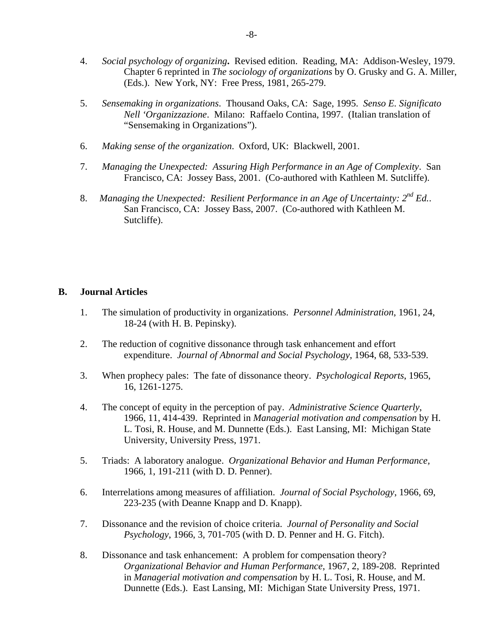- 4. *Social psychology of organizing***.** Revised edition. Reading, MA: Addison-Wesley, 1979. Chapter 6 reprinted in *The sociology of organizations* by O. Grusky and G. A. Miller, (Eds.). New York, NY: Free Press, 1981, 265-279.
- 5. *Sensemaking in organizations*. Thousand Oaks, CA: Sage, 1995. *Senso E. Significato Nell 'Organizzazione*. Milano: Raffaelo Contina, 1997. (Italian translation of "Sensemaking in Organizations").
- 6. *Making sense of the organization*. Oxford, UK: Blackwell, 2001.
- 7. *Managing the Unexpected: Assuring High Performance in an Age of Complexity*. San Francisco, CA: Jossey Bass, 2001. (Co-authored with Kathleen M. Sutcliffe).
- 8. *Managing the Unexpected: Resilient Performance in an Age of Uncertainty: 2nd Ed.*. San Francisco, CA: Jossey Bass, 2007. (Co-authored with Kathleen M. Sutcliffe).

## **B. Journal Articles**

- 1. The simulation of productivity in organizations. *Personnel Administration*, 1961, 24, 18-24 (with H. B. Pepinsky).
- 2. The reduction of cognitive dissonance through task enhancement and effort expenditure. *Journal of Abnormal and Social Psychology*, 1964, 68, 533-539.
- 3. When prophecy pales: The fate of dissonance theory. *Psychological Reports*, 1965, 16, 1261-1275.
- 4. The concept of equity in the perception of pay. *Administrative Science Quarterly*, 1966, 11, 414-439. Reprinted in *Managerial motivation and compensation* by H. L. Tosi, R. House, and M. Dunnette (Eds.). East Lansing, MI: Michigan State University, University Press, 1971.
- 5. Triads: A laboratory analogue. *Organizational Behavior and Human Performance,*  1966, 1, 191-211 (with D. D. Penner).
- 6. Interrelations among measures of affiliation. *Journal of Social Psychology*, 1966, 69, 223-235 (with Deanne Knapp and D. Knapp).
- 7. Dissonance and the revision of choice criteria. *Journal of Personality and Social Psychology*, 1966, 3, 701-705 (with D. D. Penner and H. G. Fitch).
- 8. Dissonance and task enhancement: A problem for compensation theory? *Organizational Behavior and Human Performance*, 1967, 2, 189-208. Reprinted in *Managerial motivation and compensation* by H. L. Tosi, R. House, and M. Dunnette (Eds.). East Lansing, MI: Michigan State University Press, 1971.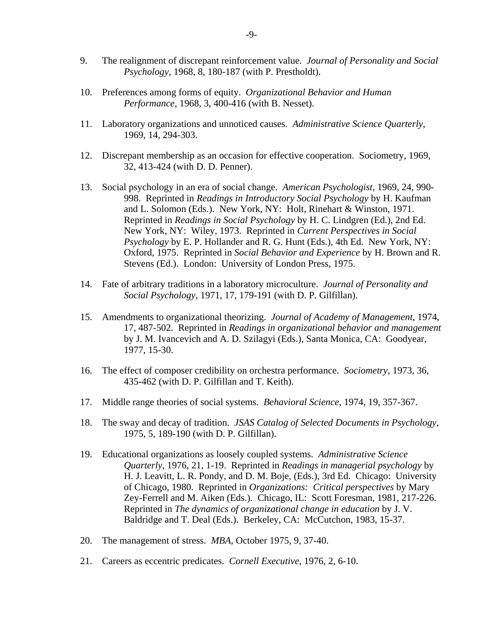- 9. The realignment of discrepant reinforcement value. *Journal of Personality and Social Psychology*, 1968, 8, 180-187 (with P. Prestholdt).
- 10. Preferences among forms of equity. *Organizational Behavior and Human Performance*, 1968, 3, 400-416 (with B. Nesset).
- 11. Laboratory organizations and unnoticed causes. *Administrative Science Quarterly*, 1969, 14, 294-303.
- 12. Discrepant membership as an occasion for effective cooperation. Sociometry, 1969, 32, 413-424 (with D. D. Penner).
- 13. Social psychology in an era of social change. *American Psychologist*, 1969, 24, 990- 998. Reprinted in *Readings in Introductory Social Psychology* by H. Kaufman and L. Solomon (Eds.). New York, NY: Holt, Rinehart & Winston, 1971. Reprinted in *Readings in Social Psychology* by H. C. Lindgren (Ed.), 2nd Ed. New York, NY: Wiley, 1973. Reprinted in *Current Perspectives in Social Psychology* by E. P. Hollander and R. G. Hunt (Eds.), 4th Ed. New York, NY: Oxford, 1975. Reprinted in *Social Behavior and Experience* by H. Brown and R. Stevens (Ed.). London: University of London Press, 1975.
- 14. Fate of arbitrary traditions in a laboratory microculture. *Journal of Personality and Social Psychology*, 1971, 17, 179-191 (with D. P. Gilfillan).
- 15. Amendments to organizational theorizing. *Journal of Academy of Management*, 1974, 17, 487-502. Reprinted in *Readings in organizational behavior and management*  by J. M. Ivancevich and A. D. Szilagyi (Eds.), Santa Monica, CA: Goodyear, 1977, 15-30.
- 16. The effect of composer credibility on orchestra performance. *Sociometry*, 1973, 36, 435-462 (with D. P. Gilfillan and T. Keith).
- 17. Middle range theories of social systems. *Behavioral Science*, 1974, 19, 357-367.
- 18. The sway and decay of tradition. *JSAS Catalog of Selected Documents in Psychology*, 1975, 5, 189-190 (with D. P. Gilfillan).
- 19. Educational organizations as loosely coupled systems. *Administrative Science Quarterly*, 1976, 21, 1-19. Reprinted in *Readings in managerial psychology* by H. J. Leavitt, L. R. Pondy, and D. M. Boje, (Eds.), 3rd Ed. Chicago: University of Chicago, 1980. Reprinted in *Organizations: Critical perspectives* by Mary Zey-Ferrell and M. Aiken (Eds.). Chicago, IL: Scott Foresman, 1981, 217-226. Reprinted in *The dynamics of organizational change in education* by J. V. Baldridge and T. Deal (Eds.). Berkeley, CA: McCutchon, 1983, 15-37.
- 20. The management of stress. *MBA*, October 1975, 9, 37-40.
- 21. Careers as eccentric predicates. *Cornell Executive*, 1976, 2, 6-10.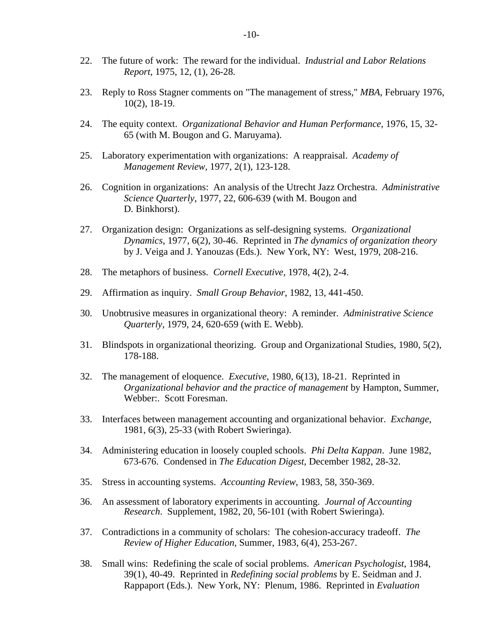- 22. The future of work: The reward for the individual. *Industrial and Labor Relations Report*, 1975, 12, (1), 26-28.
- 23. Reply to Ross Stagner comments on "The management of stress," *MBA*, February 1976, 10(2), 18-19.
- 24. The equity context. *Organizational Behavior and Human Performance*, 1976, 15, 32- 65 (with M. Bougon and G. Maruyama).
- 25. Laboratory experimentation with organizations: A reappraisal. *Academy of Management Review,* 1977, 2(1), 123-128.
- 26. Cognition in organizations: An analysis of the Utrecht Jazz Orchestra. *Administrative Science Quarterly*, 1977, 22, 606-639 (with M. Bougon and D. Binkhorst).
- 27. Organization design: Organizations as self-designing systems. *Organizational Dynamics*, 1977, 6(2), 30-46. Reprinted in *The dynamics of organization theory*  by J. Veiga and J. Yanouzas (Eds.). New York, NY: West, 1979, 208-216.
- 28. The metaphors of business. *Cornell Executive*, 1978, 4(2), 2-4.
- 29. Affirmation as inquiry. *Small Group Behavior*, 1982, 13, 441-450.
- 30. Unobtrusive measures in organizational theory: A reminder. *Administrative Science Quarterly*, 1979, 24, 620-659 (with E. Webb).
- 31. Blindspots in organizational theorizing. Group and Organizational Studies, 1980, 5(2), 178-188.
- 32. The management of eloquence. *Executive*, 1980, 6(13), 18-21. Reprinted in *Organizational behavior and the practice of management* by Hampton, Summer, Webber:. Scott Foresman.
- 33. Interfaces between management accounting and organizational behavior. *Exchange*, 1981, 6(3), 25-33 (with Robert Swieringa).
- 34. Administering education in loosely coupled schools. *Phi Delta Kappan*. June 1982, 673-676. Condensed in *The Education Digest*, December 1982, 28-32.
- 35. Stress in accounting systems. *Accounting Review*, 1983, 58, 350-369.
- 36. An assessment of laboratory experiments in accounting. *Journal of Accounting Research*. Supplement, 1982, 20, 56-101 (with Robert Swieringa).
- 37. Contradictions in a community of scholars: The cohesion-accuracy tradeoff. *The Review of Higher Education*, Summer, 1983, 6(4), 253-267.
- 38. Small wins: Redefining the scale of social problems. *American Psychologist*, 1984, 39(1), 40-49. Reprinted in *Redefining social problems* by E. Seidman and J. Rappaport (Eds.). New York, NY: Plenum, 1986. Reprinted in *Evaluation*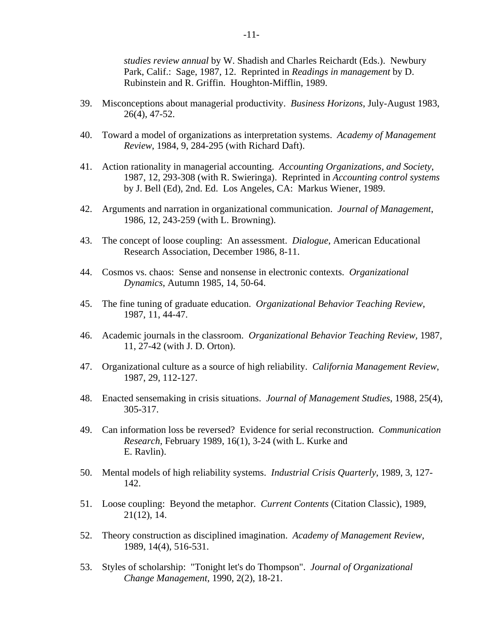*studies review annual* by W. Shadish and Charles Reichardt (Eds.). Newbury Park, Calif.: Sage, 1987, 12. Reprinted in *Readings in management* by D. Rubinstein and R. Griffin. Houghton-Mifflin, 1989.

- 39. Misconceptions about managerial productivity. *Business Horizons*, July-August 1983, 26(4), 47-52.
- 40. Toward a model of organizations as interpretation systems. *Academy of Management Review*, 1984, 9, 284-295 (with Richard Daft).
- 41. Action rationality in managerial accounting. *Accounting Organizations, and Society*, 1987, 12, 293-308 (with R. Swieringa). Reprinted in *Accounting control systems* by J. Bell (Ed), 2nd. Ed. Los Angeles, CA: Markus Wiener, 1989.
- 42. Arguments and narration in organizational communication. *Journal of Management*, 1986, 12, 243-259 (with L. Browning).
- 43. The concept of loose coupling: An assessment. *Dialogue*, American Educational Research Association, December 1986, 8-11.
- 44. Cosmos vs. chaos: Sense and nonsense in electronic contexts. *Organizational Dynamics*, Autumn 1985, 14, 50-64.
- 45. The fine tuning of graduate education. *Organizational Behavior Teaching Review*, 1987, 11, 44-47.
- 46. Academic journals in the classroom. *Organizational Behavior Teaching Review,* 1987, 11, 27-42 (with J. D. Orton).
- 47. Organizational culture as a source of high reliability. *California Management Review*, 1987, 29, 112-127.
- 48. Enacted sensemaking in crisis situations. *Journal of Management Studies*, 1988, 25(4), 305-317.
- 49. Can information loss be reversed? Evidence for serial reconstruction. *Communication Research*, February 1989, 16(1), 3-24 (with L. Kurke and E. Ravlin).
- 50. Mental models of high reliability systems. *Industrial Crisis Quarterly*, 1989, 3, 127- 142.
- 51. Loose coupling: Beyond the metaphor. *Current Contents* (Citation Classic), 1989, 21(12), 14.
- 52. Theory construction as disciplined imagination. *Academy of Management Review,*  1989, 14(4), 516-531.
- 53. Styles of scholarship: "Tonight let's do Thompson". *Journal of Organizational Change Management,* 1990, 2(2), 18-21.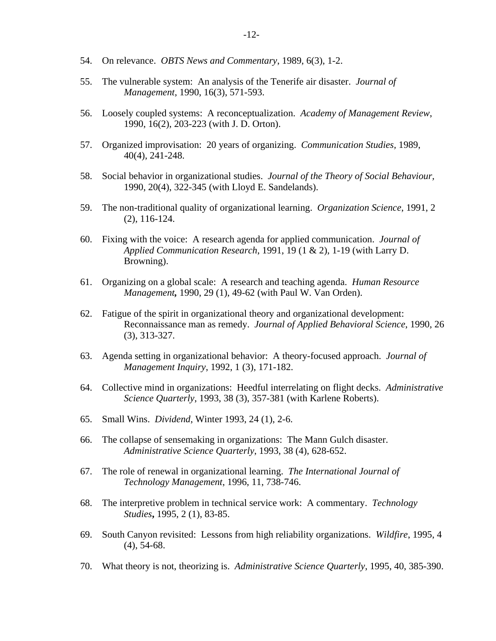- 54. On relevance. *OBTS News and Commentary*, 1989, 6(3), 1-2.
- 55. The vulnerable system: An analysis of the Tenerife air disaster. *Journal of Management*, 1990, 16(3), 571-593.
- 56. Loosely coupled systems: A reconceptualization. *Academy of Management Review*, 1990, 16(2), 203-223 (with J. D. Orton).
- 57. Organized improvisation: 20 years of organizing. *Communication Studies,* 1989, 40(4), 241-248.
- 58. Social behavior in organizational studies. *Journal of the Theory of Social Behaviour,*  1990, 20(4), 322-345 (with Lloyd E. Sandelands).
- 59. The non-traditional quality of organizational learning. *Organization Science*, 1991, 2 (2), 116-124.
- 60. Fixing with the voice: A research agenda for applied communication. *Journal of Applied Communication Research*, 1991, 19 (1 & 2), 1-19 (with Larry D. Browning).
- 61. Organizing on a global scale: A research and teaching agenda. *Human Resource Management,* 1990, 29 (1), 49-62 (with Paul W. Van Orden).
- 62. Fatigue of the spirit in organizational theory and organizational development: Reconnaissance man as remedy. *Journal of Applied Behavioral Science*, 1990, 26 (3), 313-327.
- 63. Agenda setting in organizational behavior: A theory-focused approach. *Journal of Management Inquiry*, 1992, 1 (3), 171-182.
- 64. Collective mind in organizations: Heedful interrelating on flight decks. *Administrative Science Quarterly*, 1993, 38 (3), 357-381 (with Karlene Roberts).
- 65. Small Wins. *Dividend*, Winter 1993, 24 (1), 2-6.
- 66. The collapse of sensemaking in organizations: The Mann Gulch disaster. *Administrative Science Quarterly*, 1993, 38 (4), 628-652.
- 67. The role of renewal in organizational learning. *The International Journal of Technology Management*, 1996, 11, 738-746.
- 68. The interpretive problem in technical service work: A commentary. *Technology Studies***,** 1995, 2 (1), 83-85.
- 69. South Canyon revisited: Lessons from high reliability organizations. *Wildfire*, 1995, 4 (4), 54-68.
- 70. What theory is not, theorizing is. *Administrative Science Quarterly*, 1995, 40, 385-390.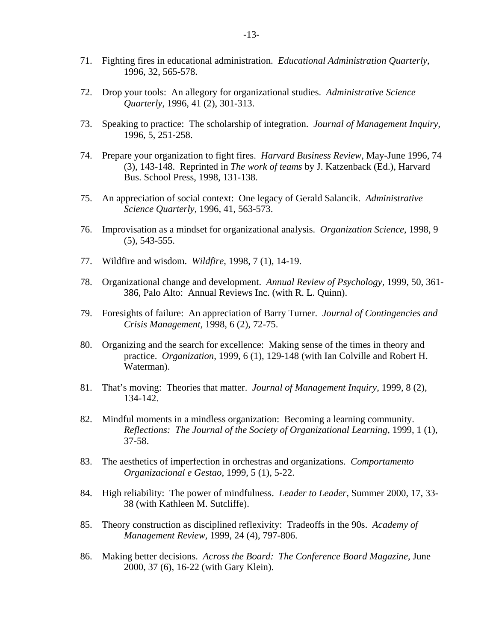- 71. Fighting fires in educational administration. *Educational Administration Quarterly*, 1996, 32, 565-578.
- 72. Drop your tools: An allegory for organizational studies. *Administrative Science Quarterly*, 1996, 41 (2), 301-313.
- 73. Speaking to practice: The scholarship of integration. *Journal of Management Inquiry,*  1996, 5, 251-258.
- 74. Prepare your organization to fight fires. *Harvard Business Review*, May-June 1996, 74 (3), 143-148. Reprinted in *The work of teams* by J. Katzenback (Ed.), Harvard Bus. School Press, 1998, 131-138.
- 75. An appreciation of social context: One legacy of Gerald Salancik. *Administrative Science Quarterly*, 1996, 41, 563-573.
- 76. Improvisation as a mindset for organizational analysis. *Organization Science*, 1998, 9 (5), 543-555.
- 77. Wildfire and wisdom. *Wildfire*, 1998, 7 (1), 14-19.
- 78. Organizational change and development. *Annual Review of Psychology*, 1999, 50, 361- 386, Palo Alto: Annual Reviews Inc. (with R. L. Quinn).
- 79. Foresights of failure: An appreciation of Barry Turner. *Journal of Contingencies and Crisis Management,* 1998, 6 (2), 72-75.
- 80. Organizing and the search for excellence: Making sense of the times in theory and practice. *Organization*, 1999, 6 (1), 129-148 (with Ian Colville and Robert H. Waterman).
- 81. That's moving: Theories that matter. *Journal of Management Inquiry*, 1999, 8 (2), 134-142.
- 82. Mindful moments in a mindless organization: Becoming a learning community. *Reflections: The Journal of the Society of Organizational Learning*, 1999, 1 (1), 37-58.
- 83. The aesthetics of imperfection in orchestras and organizations. *Comportamento Organizacional e Gestao*, 1999, 5 (1), 5-22.
- 84. High reliability: The power of mindfulness. *Leader to Leader*, Summer 2000, 17, 33- 38 (with Kathleen M. Sutcliffe).
- 85. Theory construction as disciplined reflexivity: Tradeoffs in the 90s. *Academy of Management Review*, 1999, 24 (4), 797-806.
- 86. Making better decisions. *Across the Board: The Conference Board Magazine*, June 2000, 37 (6), 16-22 (with Gary Klein).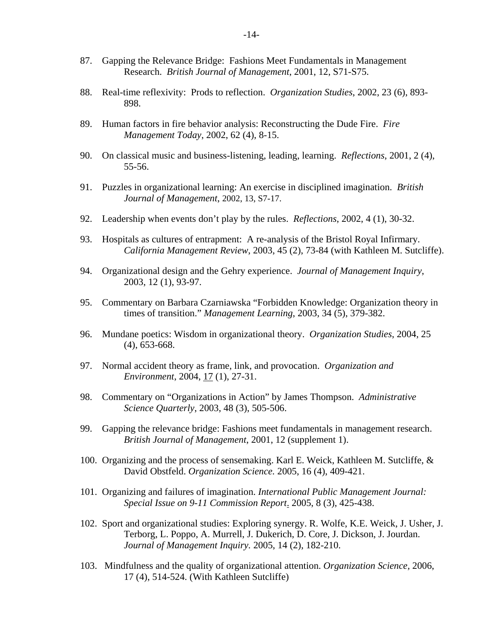- 87. Gapping the Relevance Bridge: Fashions Meet Fundamentals in Management Research. *British Journal of Management*, 2001, 12, S71-S75.
- 88. Real-time reflexivity: Prods to reflection. *Organization Studies*, 2002, 23 (6), 893- 898.
- 89. Human factors in fire behavior analysis: Reconstructing the Dude Fire. *Fire Management Today*, 2002, 62 (4), 8-15.
- 90. On classical music and business-listening, leading, learning. *Reflections*, 2001, 2 (4), 55-56.
- 91. Puzzles in organizational learning: An exercise in disciplined imagination. *British Journal of Management*, 2002, 13, S7-17.
- 92. Leadership when events don't play by the rules. *Reflections*, 2002, 4 (1), 30-32.
- 93. Hospitals as cultures of entrapment: A re-analysis of the Bristol Royal Infirmary. *California Management Review*, 2003, 45 (2), 73-84 (with Kathleen M. Sutcliffe).
- 94. Organizational design and the Gehry experience. *Journal of Management Inquiry*, 2003, 12 (1), 93-97.
- 95. Commentary on Barbara Czarniawska "Forbidden Knowledge: Organization theory in times of transition." *Management Learning*, 2003, 34 (5), 379-382.
- 96. Mundane poetics: Wisdom in organizational theory. *Organization Studies*, 2004, 25 (4), 653-668.
- 97. Normal accident theory as frame, link, and provocation. *Organization and Environment*, 2004, 17 (1), 27-31.
- 98. Commentary on "Organizations in Action" by James Thompson. *Administrative Science Quarterly*, 2003, 48 (3), 505-506.
- 99. Gapping the relevance bridge: Fashions meet fundamentals in management research. *British Journal of Management*, 2001, 12 (supplement 1).
- 100. Organizing and the process of sensemaking. Karl E. Weick, Kathleen M. Sutcliffe, & David Obstfeld. *Organization Science.* 2005, 16 (4), 409-421.
- 101. Organizing and failures of imagination. *International Public Management Journal: Special Issue on 9-11 Commission Report*. 2005, 8 (3), 425-438.
- 102. Sport and organizational studies: Exploring synergy. R. Wolfe, K.E. Weick, J. Usher, J. Terborg, L. Poppo, A. Murrell, J. Dukerich, D. Core, J. Dickson, J. Jourdan. *Journal of Management Inquiry.* 2005, 14 (2), 182-210.
- 103. Mindfulness and the quality of organizational attention. *Organization Science,* 2006, 17 (4), 514-524. (With Kathleen Sutcliffe)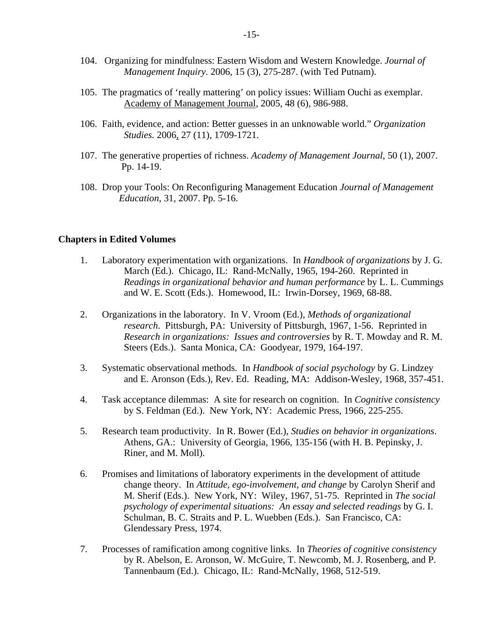- 104. Organizing for mindfulness: Eastern Wisdom and Western Knowledge. *Journal of Management Inquiry.* 2006, 15 (3), 275-287. (with Ted Putnam).
- 105. The pragmatics of 'really mattering' on policy issues: William Ouchi as exemplar. Academy of Management Journal, 2005, 48 (6), 986-988.
- 106. Faith, evidence, and action: Better guesses in an unknowable world." *Organization Studies.* 2006, 27 (11), 1709-1721.
- 107. The generative properties of richness. *Academy of Management Journal,* 50 (1), 2007. Pp. 14-19.
- 108. Drop your Tools: On Reconfiguring Management Education *Journal of Management Education,* 31, 2007. Pp. 5-16.

### **Chapters in Edited Volumes**

- 1. Laboratory experimentation with organizations. In *Handbook of organizations* by J. G. March (Ed.). Chicago, IL: Rand-McNally, 1965, 194-260. Reprinted in *Readings in organizational behavior and human performance* by L. L. Cummings and W. E. Scott (Eds.). Homewood, IL: Irwin-Dorsey, 1969, 68-88.
- 2. Organizations in the laboratory. In V. Vroom (Ed.), *Methods of organizational research*. Pittsburgh, PA: University of Pittsburgh, 1967, 1-56. Reprinted in *Research in organizations: Issues and controversies* by R. T. Mowday and R. M. Steers (Eds.). Santa Monica, CA: Goodyear, 1979, 164-197.
- 3. Systematic observational methods. In *Handbook of social psychology* by G. Lindzey and E. Aronson (Eds.), Rev. Ed. Reading, MA: Addison-Wesley, 1968, 357-451.
- 4. Task acceptance dilemmas: A site for research on cognition. In *Cognitive consistency* by S. Feldman (Ed.). New York, NY: Academic Press, 1966, 225-255.
- 5. Research team productivity. In R. Bower (Ed.), *Studies on behavior in organizations*. Athens, GA.: University of Georgia, 1966, 135-156 (with H. B. Pepinsky, J. Riner, and M. Moll).
- 6. Promises and limitations of laboratory experiments in the development of attitude change theory. In *Attitude, ego-involvement, and change* by Carolyn Sherif and M. Sherif (Eds.). New York, NY: Wiley, 1967, 51-75. Reprinted in *The social psychology of experimental situations: An essay and selected readings* by G. I. Schulman, B. C. Straits and P. L. Wuebben (Eds.). San Francisco, CA: Glendessary Press, 1974.
- 7. Processes of ramification among cognitive links. In *Theories of cognitive consistency*  by R. Abelson, E. Aronson, W. McGuire, T. Newcomb, M. J. Rosenberg, and P. Tannenbaum (Ed.). Chicago, IL: Rand-McNally, 1968, 512-519.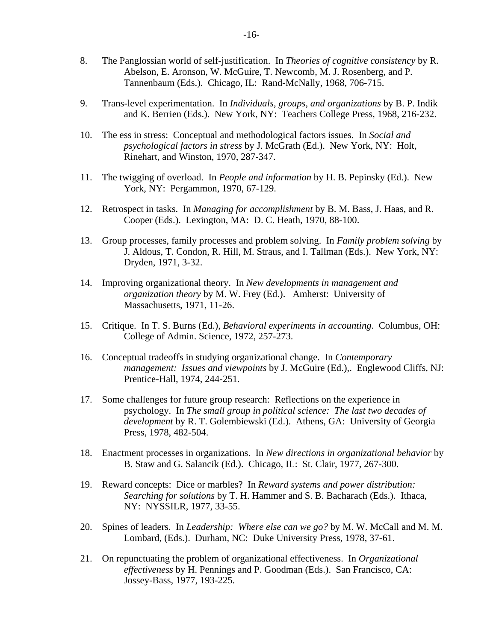- 8. The Panglossian world of self-justification. In *Theories of cognitive consistency* by R. Abelson, E. Aronson, W. McGuire, T. Newcomb, M. J. Rosenberg, and P. Tannenbaum (Eds.). Chicago, IL: Rand-McNally, 1968, 706-715.
- 9. Trans-level experimentation. In *Individuals, groups, and organizations* by B. P. Indik and K. Berrien (Eds.). New York, NY: Teachers College Press, 1968, 216-232.
- 10. The ess in stress: Conceptual and methodological factors issues. In *Social and psychological factors in stress* by J. McGrath (Ed.). New York, NY: Holt, Rinehart, and Winston, 1970, 287-347.
- 11. The twigging of overload. In *People and information* by H. B. Pepinsky (Ed.). New York, NY: Pergammon, 1970, 67-129.
- 12. Retrospect in tasks. In *Managing for accomplishment* by B. M. Bass, J. Haas, and R. Cooper (Eds.). Lexington, MA: D. C. Heath, 1970, 88-100.
- 13. Group processes, family processes and problem solving. In *Family problem solving* by J. Aldous, T. Condon, R. Hill, M. Straus, and I. Tallman (Eds.). New York, NY: Dryden, 1971, 3-32.
- 14. Improving organizational theory. In *New developments in management and organization theory* by M. W. Frey (Ed.). Amherst: University of Massachusetts, 1971, 11-26.
- 15. Critique. In T. S. Burns (Ed.), *Behavioral experiments in accounting*. Columbus, OH: College of Admin. Science, 1972, 257-273.
- 16. Conceptual tradeoffs in studying organizational change. In *Contemporary management: Issues and viewpoints* by J. McGuire (Ed.),. Englewood Cliffs, NJ: Prentice-Hall, 1974, 244-251.
- 17. Some challenges for future group research: Reflections on the experience in psychology. In *The small group in political science: The last two decades of development* by R. T. Golembiewski (Ed.). Athens, GA: University of Georgia Press, 1978, 482-504.
- 18. Enactment processes in organizations. In *New directions in organizational behavior* by B. Staw and G. Salancik (Ed.). Chicago, IL: St. Clair, 1977, 267-300.
- 19. Reward concepts: Dice or marbles? In *Reward systems and power distribution: Searching for solutions* by T. H. Hammer and S. B. Bacharach (Eds.). Ithaca, NY: NYSSILR, 1977, 33-55.
- 20. Spines of leaders. In *Leadership: Where else can we go?* by M. W. McCall and M. M. Lombard, (Eds.).Durham, NC: Duke University Press, 1978, 37-61.
- 21. On repunctuating the problem of organizational effectiveness. In *Organizational effectiveness* by H. Pennings and P. Goodman (Eds.). San Francisco, CA: Jossey-Bass, 1977, 193-225.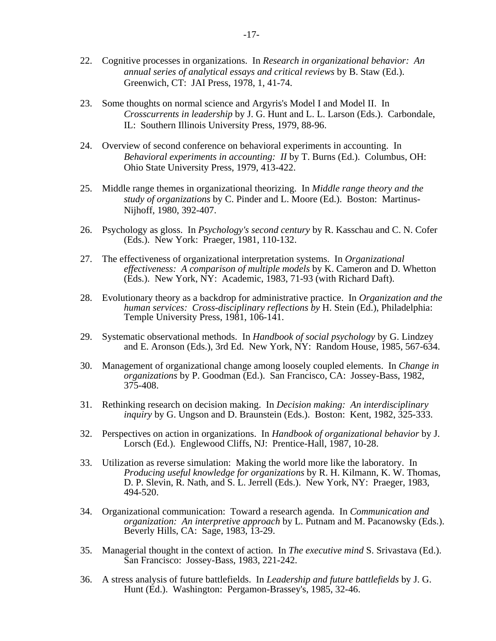- 22. Cognitive processes in organizations. In *Research in organizational behavior: An annual series of analytical essays and critical reviews* by B. Staw (Ed.). Greenwich, CT: JAI Press, 1978, 1, 41-74.
- 23. Some thoughts on normal science and Argyris's Model I and Model II. In *Crosscurrents in leadership* by J. G. Hunt and L. L. Larson (Eds.). Carbondale, IL: Southern Illinois University Press, 1979, 88-96.
- 24. Overview of second conference on behavioral experiments in accounting. In *Behavioral experiments in accounting: II* by T. Burns (Ed.). Columbus, OH: Ohio State University Press, 1979, 413-422.
- 25. Middle range themes in organizational theorizing. In *Middle range theory and the study of organizations* by C. Pinder and L. Moore (Ed.). Boston: Martinus-Nijhoff, 1980, 392-407.
- 26. Psychology as gloss. In *Psychology's second century* by R. Kasschau and C. N. Cofer (Eds.). New York: Praeger, 1981, 110-132.
- 27. The effectiveness of organizational interpretation systems. In *Organizational effectiveness: A comparison of multiple models* by K. Cameron and D. Whetton (Eds.). New York, NY: Academic, 1983, 71-93 (with Richard Daft).
- 28. Evolutionary theory as a backdrop for administrative practice. In *Organization and the human services: Cross-disciplinary reflections by* H. Stein (Ed.), Philadelphia: Temple University Press, 1981, 106-141.
- 29. Systematic observational methods. In *Handbook of social psychology* by G. Lindzey and E. Aronson (Eds.), 3rd Ed. New York, NY: Random House, 1985, 567-634.
- 30. Management of organizational change among loosely coupled elements. In *Change in organizations* by P. Goodman (Ed.). San Francisco, CA: Jossey-Bass, 1982, 375-408.
- 31. Rethinking research on decision making. In *Decision making: An interdisciplinary inquiry* by G. Ungson and D. Braunstein (Eds.). Boston: Kent, 1982, 325-333.
- 32. Perspectives on action in organizations. In *Handbook of organizational behavior* by J. Lorsch (Ed.). Englewood Cliffs, NJ: Prentice-Hall, 1987, 10-28.
- 33. Utilization as reverse simulation: Making the world more like the laboratory. In *Producing useful knowledge for organizations* by R. H. Kilmann, K. W. Thomas, D. P. Slevin, R. Nath, and S. L. Jerrell (Eds.). New York, NY: Praeger, 1983, 494-520.
- 34. Organizational communication: Toward a research agenda. In *Communication and organization: An interpretive approach* by L. Putnam and M. Pacanowsky (Eds.). Beverly Hills, CA: Sage, 1983, 13-29.
- 35. Managerial thought in the context of action. In *The executive mind* S. Srivastava (Ed.). San Francisco: Jossey-Bass, 1983, 221-242.
- 36. A stress analysis of future battlefields. In *Leadership and future battlefields* by J. G. Hunt (Ed.). Washington: Pergamon-Brassey's, 1985, 32-46.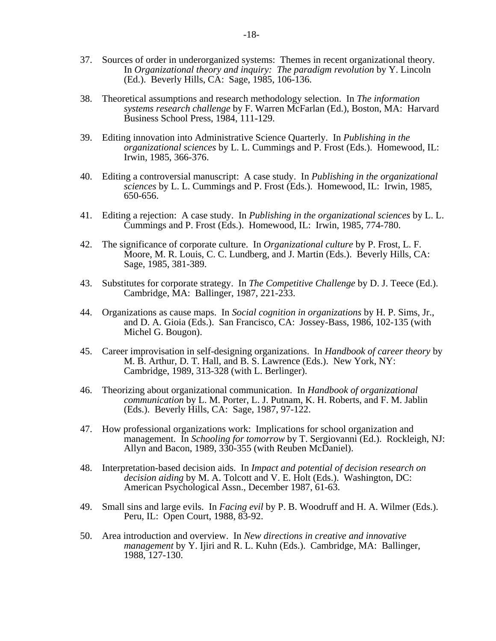- 37. Sources of order in underorganized systems: Themes in recent organizational theory. In *Organizational theory and inquiry: The paradigm revolution* by Y. Lincoln (Ed.). Beverly Hills, CA: Sage, 1985, 106-136.
- 38. Theoretical assumptions and research methodology selection. In *The information systems research challenge* by F. Warren McFarlan (Ed.), Boston, MA: Harvard Business School Press, 1984, 111-129.
- 39. Editing innovation into Administrative Science Quarterly. In *Publishing in the organizational sciences* by L. L. Cummings and P. Frost (Eds.). Homewood, IL: Irwin, 1985, 366-376.
- 40. Editing a controversial manuscript: A case study. In *Publishing in the organizational sciences* by L. L. Cummings and P. Frost (Eds.). Homewood, IL: Irwin, 1985, 650-656.
- 41. Editing a rejection: A case study. In *Publishing in the organizational sciences* by L. L. Cummings and P. Frost (Eds.). Homewood, IL: Irwin, 1985, 774-780.
- 42. The significance of corporate culture. In *Organizational culture* by P. Frost, L. F. Moore, M. R. Louis, C. C. Lundberg, and J. Martin (Eds.). Beverly Hills, CA: Sage, 1985, 381-389.
- 43. Substitutes for corporate strategy. In *The Competitive Challenge* by D. J. Teece (Ed.). Cambridge, MA: Ballinger, 1987, 221-233.
- 44. Organizations as cause maps. In *Social cognition in organizations* by H. P. Sims, Jr., and D. A. Gioia (Eds.). San Francisco, CA: Jossey-Bass, 1986, 102-135 (with Michel G. Bougon).
- 45. Career improvisation in self-designing organizations. In *Handbook of career theory* by M. B. Arthur, D. T. Hall, and B. S. Lawrence (Eds.). New York, NY: Cambridge, 1989, 313-328 (with L. Berlinger).
- 46. Theorizing about organizational communication. In *Handbook of organizational communication* by L. M. Porter, L. J. Putnam, K. H. Roberts, and F. M. Jablin (Eds.). Beverly Hills, CA: Sage, 1987, 97-122.
- 47. How professional organizations work: Implications for school organization and management. In *Schooling for tomorrow* by T. Sergiovanni (Ed.). Rockleigh, NJ: Allyn and Bacon, 1989, 330-355 (with Reuben McDaniel).
- 48. Interpretation-based decision aids. In *Impact and potential of decision research on decision aiding* by M. A. Tolcott and V. E. Holt (Eds.). Washington, DC: American Psychological Assn., December 1987, 61-63.
- 49. Small sins and large evils. In *Facing evil* by P. B. Woodruff and H. A. Wilmer (Eds.). Peru, IL: Open Court, 1988, 83-92.
- 50. Area introduction and overview. In *New directions in creative and innovative management* by Y. Ijiri and R. L. Kuhn (Eds.). Cambridge, MA: Ballinger, 1988, 127-130.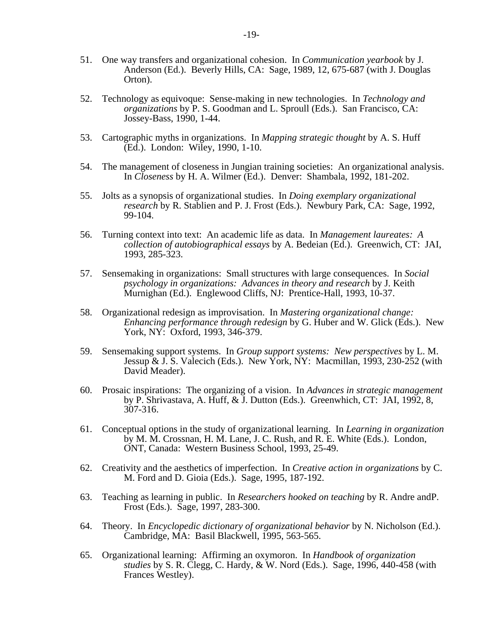- 51. One way transfers and organizational cohesion. In *Communication yearbook* by J. Anderson (Ed.). Beverly Hills, CA: Sage, 1989, 12, 675-687 (with J. Douglas Orton).
- 52. Technology as equivoque: Sense-making in new technologies. In *Technology and organizations* by P. S. Goodman and L. Sproull (Eds.). San Francisco, CA: Jossey-Bass, 1990, 1-44.
- 53. Cartographic myths in organizations. In *Mapping strategic thought* by A. S. Huff (Ed.). London: Wiley, 1990, 1-10.
- 54. The management of closeness in Jungian training societies: An organizational analysis. In *Closeness* by H. A. Wilmer (Ed.). Denver: Shambala, 1992, 181-202.
- 55. Jolts as a synopsis of organizational studies. In *Doing exemplary organizational research* by R. Stablien and P. J. Frost (Eds.). Newbury Park, CA: Sage, 1992, 99-104.
- 56. Turning context into text: An academic life as data. In *Management laureates: A collection of autobiographical essays* by A. Bedeian (Ed.). Greenwich, CT: JAI, 1993, 285-323.
- 57. Sensemaking in organizations: Small structures with large consequences. In *Social psychology in organizations: Advances in theory and research* by J. Keith Murnighan (Ed.). Englewood Cliffs, NJ: Prentice-Hall, 1993, 10-37.
- 58. Organizational redesign as improvisation. In *Mastering organizational change: Enhancing performance through redesign* by G. Huber and W. Glick (Eds.). New York, NY: Oxford, 1993, 346-379.
- 59. Sensemaking support systems. In *Group support systems: New perspectives* by L. M. Jessup & J. S. Valecich (Eds.). New York, NY: Macmillan, 1993, 230-252 (with David Meader).
- 60. Prosaic inspirations: The organizing of a vision. In *Advances in strategic management* by P. Shrivastava, A. Huff, & J. Dutton (Eds.). Greenwhich, CT: JAI, 1992, 8, 307-316.
- 61. Conceptual options in the study of organizational learning. In *Learning in organization*  by M. M. Crossnan, H. M. Lane, J. C. Rush, and R. E. White (Eds.). London, ONT, Canada: Western Business School, 1993, 25-49.
- 62. Creativity and the aesthetics of imperfection. In *Creative action in organizations* by C. M. Ford and D. Gioia (Eds.). Sage, 1995, 187-192.
- 63. Teaching as learning in public. In *Researchers hooked on teaching* by R. Andre andP. Frost (Eds.). Sage, 1997, 283-300.
- 64. Theory. In *Encyclopedic dictionary of organizational behavior* by N. Nicholson (Ed.). Cambridge, MA: Basil Blackwell, 1995, 563-565.
- 65. Organizational learning: Affirming an oxymoron. In *Handbook of organization studies* by S. R. Clegg, C. Hardy, & W. Nord (Eds.). Sage, 1996, 440-458 (with Frances Westley).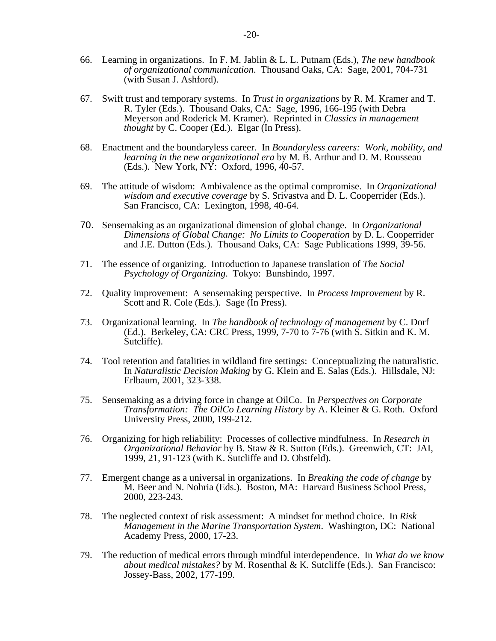- 66. Learning in organizations. In F. M. Jablin & L. L. Putnam (Eds.), *The new handbook of organizational communication*. Thousand Oaks, CA: Sage, 2001, 704-731 (with Susan J. Ashford).
- 67. Swift trust and temporary systems. In *Trust in organizations* by R. M. Kramer and T. R. Tyler (Eds.). Thousand Oaks, CA: Sage, 1996, 166-195 (with Debra Meyerson and Roderick M. Kramer). Reprinted in *Classics in management thought* by C. Cooper (Ed.). Elgar (In Press).
- 68. Enactment and the boundaryless career. In *Boundaryless careers: Work, mobility, and learning in the new organizational era* by M. B. Arthur and D. M. Rousseau (Eds.). New York, NY: Oxford, 1996, 40-57.
- 69. The attitude of wisdom: Ambivalence as the optimal compromise. In *Organizational wisdom and executive coverage* by S. Srivastva and D. L. Cooperrider (Eds.). San Francisco, CA: Lexington, 1998, 40-64.
- 70. Sensemaking as an organizational dimension of global change. In *Organizational Dimensions of Global Change: No Limits to Cooperation* by D. L. Cooperrider and J.E. Dutton (Eds.)*.* Thousand Oaks, CA: Sage Publications 1999, 39-56.
- 71. The essence of organizing. Introduction to Japanese translation of *The Social Psychology of Organizing*. Tokyo: Bunshindo, 1997.
- 72. Quality improvement: A sensemaking perspective. In *Process Improvement* by R. Scott and R. Cole (Eds.). Sage (In Press).
- 73. Organizational learning. In *The handbook of technology of management* by C. Dorf (Ed.). Berkeley, CA: CRC Press, 1999, 7-70 to 7-76 (with S. Sitkin and K. M. Sutcliffe).
- 74. Tool retention and fatalities in wildland fire settings: Conceptualizing the naturalistic. In *Naturalistic Decision Making* by G. Klein and E. Salas (Eds.). Hillsdale, NJ: Erlbaum, 2001, 323-338.
- 75. Sensemaking as a driving force in change at OilCo. In *Perspectives on Corporate Transformation: The OilCo Learning History* by A. Kleiner & G. Roth*.* Oxford University Press, 2000, 199-212.
- 76. Organizing for high reliability: Processes of collective mindfulness. In *Research in Organizational Behavior* by B. Staw & R. Sutton (Eds.). Greenwich, CT: JAI, 1999, 21, 91-123 (with K. Sutcliffe and D. Obstfeld).
- 77. Emergent change as a universal in organizations. In *Breaking the code of change* by M. Beer and N. Nohria (Eds.). Boston, MA: Harvard Business School Press, 2000, 223-243.
- 78. The neglected context of risk assessment: A mindset for method choice. In *Risk Management in the Marine Transportation System*. Washington, DC: National Academy Press, 2000, 17-23.
- 79. The reduction of medical errors through mindful interdependence. In *What do we know about medical mistakes?* by M. Rosenthal & K. Sutcliffe (Eds.). San Francisco: Jossey-Bass, 2002, 177-199.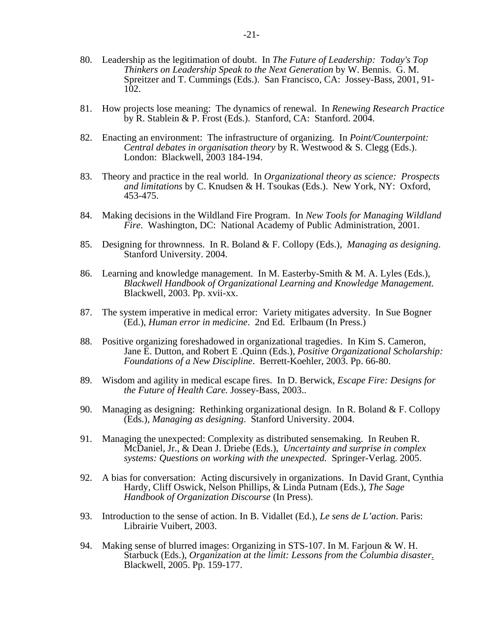- 80. Leadership as the legitimation of doubt. In *The Future of Leadership: Today's Top Thinkers on Leadership Speak to the Next Generation* by W. Bennis. G. M. Spreitzer and T. Cummings (Eds.). San Francisco, CA: Jossey-Bass, 2001, 91- 102.
- 81. How projects lose meaning: The dynamics of renewal. In *Renewing Research Practice* by R. Stablein & P. Frost (Eds.). Stanford, CA: Stanford. 2004.
- 82. Enacting an environment: The infrastructure of organizing. In *Point/Counterpoint: Central debates in organisation theory* by R. Westwood & S. Clegg (Eds.). London: Blackwell, 2003 184-194.
- 83. Theory and practice in the real world. In *Organizational theory as science: Prospects and limitations* by C. Knudsen & H. Tsoukas (Eds.). New York, NY: Oxford, 453-475.
- 84. Making decisions in the Wildland Fire Program. In *New Tools for Managing Wildland Fire*. Washington, DC: National Academy of Public Administration, 2001.
- 85. Designing for thrownness. In R. Boland & F. Collopy (Eds.), *Managing as designing*. Stanford University. 2004.
- 86. Learning and knowledge management. In M. Easterby-Smith & M. A. Lyles (Eds.), *Blackwell Handbook of Organizational Learning and Knowledge Management.* Blackwell, 2003. Pp. xvii-xx.
- 87. The system imperative in medical error: Variety mitigates adversity. In Sue Bogner (Ed.), *Human error in medicine*. 2nd Ed. Erlbaum (In Press.)
- 88. Positive organizing foreshadowed in organizational tragedies. In Kim S. Cameron, Jane E. Dutton, and Robert E .Quinn (Eds.), *Positive Organizational Scholarship: Foundations of a New Discipline*. Berrett-Koehler, 2003. Pp. 66-80.
- 89. Wisdom and agility in medical escape fires. In D. Berwick, *Escape Fire: Designs for the Future of Health Care.* Jossey-Bass, 2003..
- 90. Managing as designing: Rethinking organizational design. In R. Boland & F. Collopy (Eds.), *Managing as designing*. Stanford University. 2004.
- 91. Managing the unexpected: Complexity as distributed sensemaking. In Reuben R. McDaniel, Jr., & Dean J. Driebe (Eds.), *Uncertainty and surprise in complex systems: Questions on working with the unexpected.* Springer-Verlag. 2005.
- 92. A bias for conversation: Acting discursively in organizations. In David Grant, Cynthia Hardy, Cliff Oswick, Nelson Phillips, & Linda Putnam (Eds.), *The Sage Handbook of Organization Discourse* (In Press).
- 93. Introduction to the sense of action. In B. Vidallet (Ed.), *Le sens de L'action*. Paris: Librairie Vuibert, 2003.
- 94. Making sense of blurred images: Organizing in STS-107. In M. Farjoun & W. H. Starbuck (Eds.), *Organization at the limit: Lessons from the Columbia disaster*. Blackwell, 2005. Pp. 159-177.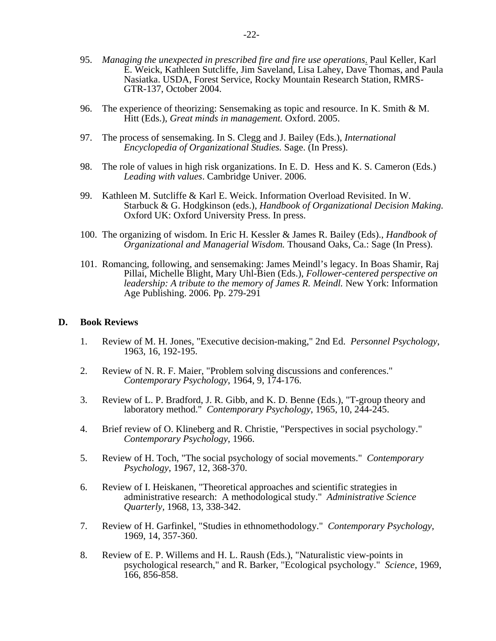- 95. *Managing the unexpected in prescribed fire and fire use operations*. Paul Keller, Karl E. Weick, Kathleen Sutcliffe, Jim Saveland, Lisa Lahey, Dave Thomas, and Paula Nasiatka. USDA, Forest Service, Rocky Mountain Research Station, RMRS-GTR-137, October 2004.
- 96. The experience of theorizing: Sensemaking as topic and resource. In K. Smith & M. Hitt (Eds.), *Great minds in management.* Oxford. 2005.
- 97. The process of sensemaking. In S. Clegg and J. Bailey (Eds.), *International Encyclopedia of Organizational Studies.* Sage. (In Press).
- 98. The role of values in high risk organizations. In E. D. Hess and K. S. Cameron (Eds.) *Leading with values*. Cambridge Univer. 2006.
- 99. Kathleen M. Sutcliffe & Karl E. Weick. Information Overload Revisited. In W. Starbuck & G. Hodgkinson (eds.), *Handbook of Organizational Decision Making.* Oxford UK: Oxford University Press. In press.
- 100. The organizing of wisdom. In Eric H. Kessler & James R. Bailey (Eds)., *Handbook of Organizational and Managerial Wisdom.* Thousand Oaks, Ca.: Sage (In Press).
- 101. Romancing, following, and sensemaking: James Meindl's legacy. In Boas Shamir, Raj Pillai, Michelle Blight, Mary Uhl-Bien (Eds.), *Follower-centered perspective on leadership: A tribute to the memory of James R. Meindl.* New York: Information Age Publishing. 2006. Pp. 279-291

#### **D. Book Reviews**

- 1. Review of M. H. Jones, "Executive decision-making," 2nd Ed. *Personnel Psychology*, 1963, 16, 192-195.
- 2. Review of N. R. F. Maier, "Problem solving discussions and conferences." *Contemporary Psychology*, 1964, 9, 174-176.
- 3. Review of L. P. Bradford, J. R. Gibb, and K. D. Benne (Eds.), "T-group theory and laboratory method." *Contemporary Psychology*, 1965, 10, 244-245.
- 4. Brief review of O. Klineberg and R. Christie, "Perspectives in social psychology." *Contemporary Psychology*, 1966.
- 5. Review of H. Toch, "The social psychology of social movements." *Contemporary Psychology*, 1967, 12, 368-370.
- 6. Review of I. Heiskanen, "Theoretical approaches and scientific strategies in administrative research: A methodological study." *Administrative Science Quarterly,* 1968, 13, 338-342.
- 7. Review of H. Garfinkel, "Studies in ethnomethodology." *Contemporary Psychology,* 1969, 14, 357-360.
- 8. Review of E. P. Willems and H. L. Raush (Eds.), "Naturalistic view-points in psychological research," and R. Barker, "Ecological psychology." *Science*, 1969, 166, 856-858.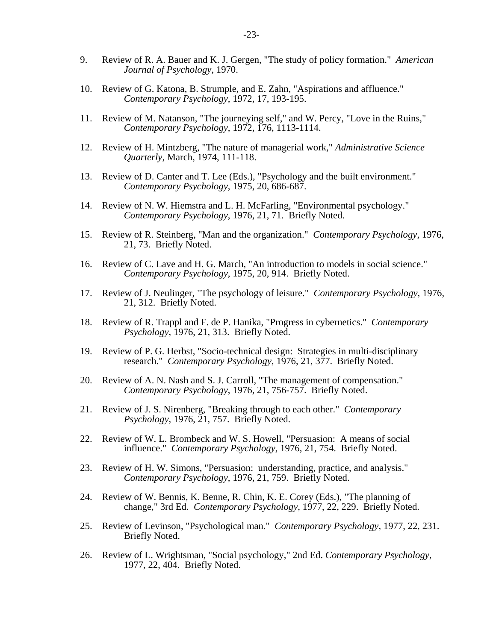- 9. Review of R. A. Bauer and K. J. Gergen, "The study of policy formation." *American Journal of Psychology*, 1970.
- 10. Review of G. Katona, B. Strumple, and E. Zahn, "Aspirations and affluence." *Contemporary Psychology*, 1972, 17, 193-195.
- 11. Review of M. Natanson, "The journeying self," and W. Percy, "Love in the Ruins," *Contemporary Psychology*, 1972, 176, 1113-1114.
- 12. Review of H. Mintzberg, "The nature of managerial work," *Administrative Science Quarterly*, March, 1974, 111-118.
- 13. Review of D. Canter and T. Lee (Eds.), "Psychology and the built environment." *Contemporary Psychology*, 1975, 20, 686-687.
- 14. Review of N. W. Hiemstra and L. H. McFarling, "Environmental psychology." *Contemporary Psychology*, 1976, 21, 71. Briefly Noted.
- 15. Review of R. Steinberg, "Man and the organization." *Contemporary Psychology*, 1976, 21, 73. Briefly Noted.
- 16. Review of C. Lave and H. G. March, "An introduction to models in social science." *Contemporary Psychology*, 1975, 20, 914. Briefly Noted.
- 17. Review of J. Neulinger, "The psychology of leisure." *Contemporary Psychology*, 1976, 21, 312. Briefly Noted.
- 18. Review of R. Trappl and F. de P. Hanika, "Progress in cybernetics." *Contemporary Psychology*, 1976, 21, 313. Briefly Noted.
- 19. Review of P. G. Herbst, "Socio-technical design: Strategies in multi-disciplinary research." *Contemporary Psychology*, 1976, 21, 377. Briefly Noted.
- 20. Review of A. N. Nash and S. J. Carroll, "The management of compensation." *Contemporary Psychology*, 1976, 21, 756-757. Briefly Noted.
- 21. Review of J. S. Nirenberg, "Breaking through to each other." *Contemporary Psychology,* 1976, 21, 757. Briefly Noted.
- 22. Review of W. L. Brombeck and W. S. Howell, "Persuasion: A means of social influence." *Contemporary Psychology*, 1976, 21, 754. Briefly Noted.
- 23. Review of H. W. Simons, "Persuasion: understanding, practice, and analysis." *Contemporary Psychology*, 1976, 21, 759. Briefly Noted.
- 24. Review of W. Bennis, K. Benne, R. Chin, K. E. Corey (Eds.), "The planning of change," 3rd Ed. *Contemporary Psychology*, 1977, 22, 229. Briefly Noted.
- 25. Review of Levinson, "Psychological man." *Contemporary Psychology*, 1977, 22, 231. Briefly Noted.
- 26. Review of L. Wrightsman, "Social psychology," 2nd Ed. *Contemporary Psychology*, 1977, 22, 404. Briefly Noted.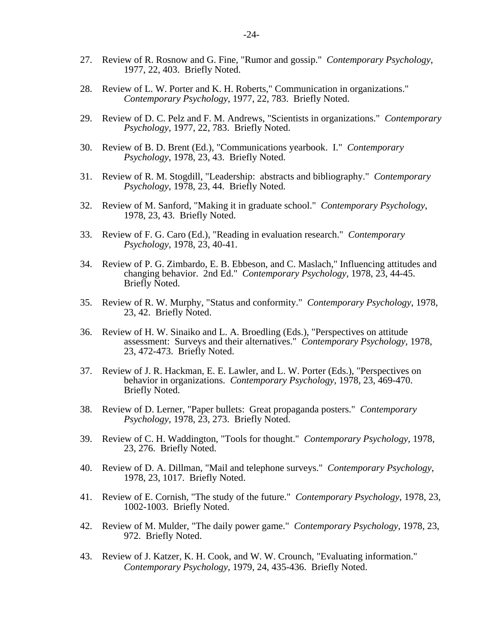- 27. Review of R. Rosnow and G. Fine, "Rumor and gossip." *Contemporary Psychology*, 1977, 22, 403. Briefly Noted.
- 28. Review of L. W. Porter and K. H. Roberts," Communication in organizations." *Contemporary Psychology*, 1977, 22, 783. Briefly Noted.
- 29. Review of D. C. Pelz and F. M. Andrews, "Scientists in organizations." *Contemporary Psychology*, 1977, 22, 783. Briefly Noted.
- 30. Review of B. D. Brent (Ed.), "Communications yearbook. I." *Contemporary Psychology*, 1978, 23, 43. Briefly Noted.
- 31. Review of R. M. Stogdill, "Leadership: abstracts and bibliography." *Contemporary Psychology*, 1978, 23, 44. Briefly Noted.
- 32. Review of M. Sanford, "Making it in graduate school." *Contemporary Psychology*, 1978, 23, 43. Briefly Noted.
- 33. Review of F. G. Caro (Ed.), "Reading in evaluation research." *Contemporary Psychology*, 1978, 23, 40-41.
- 34. Review of P. G. Zimbardo, E. B. Ebbeson, and C. Maslach," Influencing attitudes and changing behavior. 2nd Ed." *Contemporary Psychology*, 1978, 23, 44-45. Briefly Noted.
- 35. Review of R. W. Murphy, "Status and conformity." *Contemporary Psychology*, 1978, 23, 42. Briefly Noted.
- 36. Review of H. W. Sinaiko and L. A. Broedling (Eds.), "Perspectives on attitude assessment: Surveys and their alternatives." *Contemporary Psychology,* 1978, 23, 472-473. Briefly Noted.
- 37. Review of J. R. Hackman, E. E. Lawler, and L. W. Porter (Eds.), "Perspectives on behavior in organizations. *Contemporary Psychology*, 1978, 23, 469-470. Briefly Noted.
- 38. Review of D. Lerner, "Paper bullets: Great propaganda posters." *Contemporary Psychology*, 1978, 23, 273. Briefly Noted.
- 39. Review of C. H. Waddington, "Tools for thought." *Contemporary Psychology,* 1978, 23, 276. Briefly Noted.
- 40. Review of D. A. Dillman, "Mail and telephone surveys." *Contemporary Psychology*, 1978, 23, 1017. Briefly Noted.
- 41. Review of E. Cornish, "The study of the future." *Contemporary Psychology*, 1978, 23, 1002-1003. Briefly Noted.
- 42. Review of M. Mulder, "The daily power game." *Contemporary Psychology*, 1978, 23, 972. Briefly Noted.
- 43. Review of J. Katzer, K. H. Cook, and W. W. Crounch, "Evaluating information." *Contemporary Psychology*, 1979, 24, 435-436. Briefly Noted.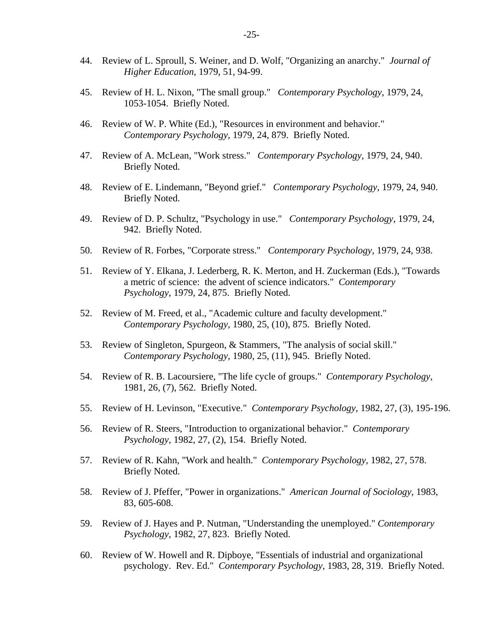- 44. Review of L. Sproull, S. Weiner, and D. Wolf, "Organizing an anarchy." *Journal of Higher Education*, 1979, 51, 94-99.
- 45. Review of H. L. Nixon, "The small group." *Contemporary Psychology*, 1979, 24, 1053-1054. Briefly Noted.
- 46. Review of W. P. White (Ed.), "Resources in environment and behavior." *Contemporary Psychology*, 1979, 24, 879. Briefly Noted.
- 47. Review of A. McLean, "Work stress." *Contemporary Psychology*, 1979, 24, 940. Briefly Noted.
- 48. Review of E. Lindemann, "Beyond grief." *Contemporary Psychology*, 1979, 24, 940. Briefly Noted.
- 49. Review of D. P. Schultz, "Psychology in use." *Contemporary Psychology*, 1979, 24, 942. Briefly Noted.
- 50. Review of R. Forbes, "Corporate stress." *Contemporary Psychology*, 1979, 24, 938.
- 51. Review of Y. Elkana, J. Lederberg, R. K. Merton, and H. Zuckerman (Eds.), "Towards a metric of science: the advent of science indicators." *Contemporary Psychology*, 1979, 24, 875. Briefly Noted.
- 52. Review of M. Freed, et al., "Academic culture and faculty development." *Contemporary Psychology*, 1980, 25, (10), 875. Briefly Noted.
- 53. Review of Singleton, Spurgeon, & Stammers, "The analysis of social skill." *Contemporary Psychology*, 1980, 25, (11), 945. Briefly Noted.
- 54. Review of R. B. Lacoursiere, "The life cycle of groups." *Contemporary Psychology*, 1981, 26, (7), 562. Briefly Noted.
- 55. Review of H. Levinson, "Executive." *Contemporary Psychology*, 1982, 27, (3), 195-196.
- 56. Review of R. Steers, "Introduction to organizational behavior." *Contemporary Psychology*, 1982, 27, (2), 154. Briefly Noted.
- 57. Review of R. Kahn, "Work and health." *Contemporary Psychology*, 1982, 27, 578. Briefly Noted.
- 58. Review of J. Pfeffer, "Power in organizations." *American Journal of Sociology*, 1983, 83, 605-608.
- 59. Review of J. Hayes and P. Nutman, "Understanding the unemployed." *Contemporary Psychology*, 1982, 27, 823. Briefly Noted.
- 60. Review of W. Howell and R. Dipboye, "Essentials of industrial and organizational psychology. Rev. Ed." *Contemporary Psychology*, 1983, 28, 319. Briefly Noted.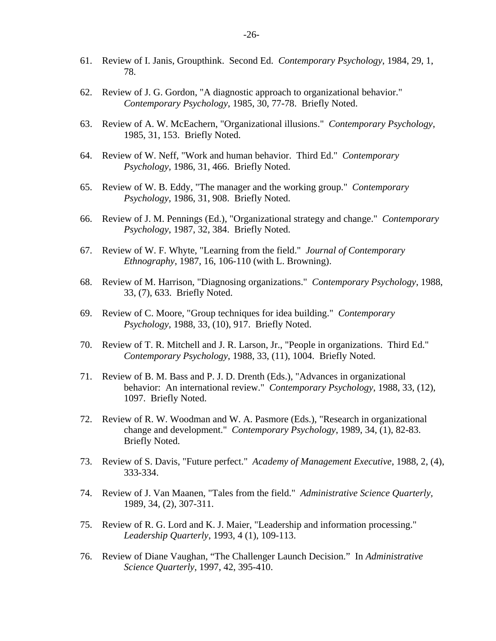- 61. Review of I. Janis, Groupthink. Second Ed. *Contemporary Psychology*, 1984, 29, 1, 78.
- 62. Review of J. G. Gordon, "A diagnostic approach to organizational behavior." *Contemporary Psychology*, 1985, 30, 77-78. Briefly Noted.
- 63. Review of A. W. McEachern, "Organizational illusions." *Contemporary Psychology*, 1985, 31, 153. Briefly Noted.
- 64. Review of W. Neff, "Work and human behavior. Third Ed." *Contemporary Psychology,* 1986, 31, 466. Briefly Noted.
- 65. Review of W. B. Eddy, "The manager and the working group." *Contemporary Psychology*, 1986, 31, 908. Briefly Noted.
- 66. Review of J. M. Pennings (Ed.), "Organizational strategy and change." *Contemporary Psychology*, 1987, 32, 384. Briefly Noted.
- 67. Review of W. F. Whyte, "Learning from the field." *Journal of Contemporary Ethnography*, 1987, 16, 106-110 (with L. Browning).
- 68. Review of M. Harrison, "Diagnosing organizations." *Contemporary Psychology*, 1988, 33, (7), 633. Briefly Noted.
- 69. Review of C. Moore, "Group techniques for idea building." *Contemporary Psychology,* 1988, 33, (10), 917. Briefly Noted.
- 70. Review of T. R. Mitchell and J. R. Larson, Jr., "People in organizations. Third Ed." *Contemporary Psychology*, 1988, 33, (11), 1004. Briefly Noted.
- 71. Review of B. M. Bass and P. J. D. Drenth (Eds.), "Advances in organizational behavior: An international review." *Contemporary Psychology*, 1988, 33, (12), 1097. Briefly Noted.
- 72. Review of R. W. Woodman and W. A. Pasmore (Eds.), "Research in organizational change and development." *Contemporary Psychology*, 1989, 34, (1), 82-83. Briefly Noted.
- 73. Review of S. Davis, "Future perfect." *Academy of Management Executive*, 1988, 2, (4), 333-334.
- 74. Review of J. Van Maanen, "Tales from the field." *Administrative Science Quarterly,* 1989, 34, (2), 307-311.
- 75. Review of R. G. Lord and K. J. Maier, "Leadership and information processing." *Leadership Quarterly*, 1993, 4 (1), 109-113.
- 76. Review of Diane Vaughan, "The Challenger Launch Decision." In *Administrative Science Quarterly*, 1997, 42, 395-410.